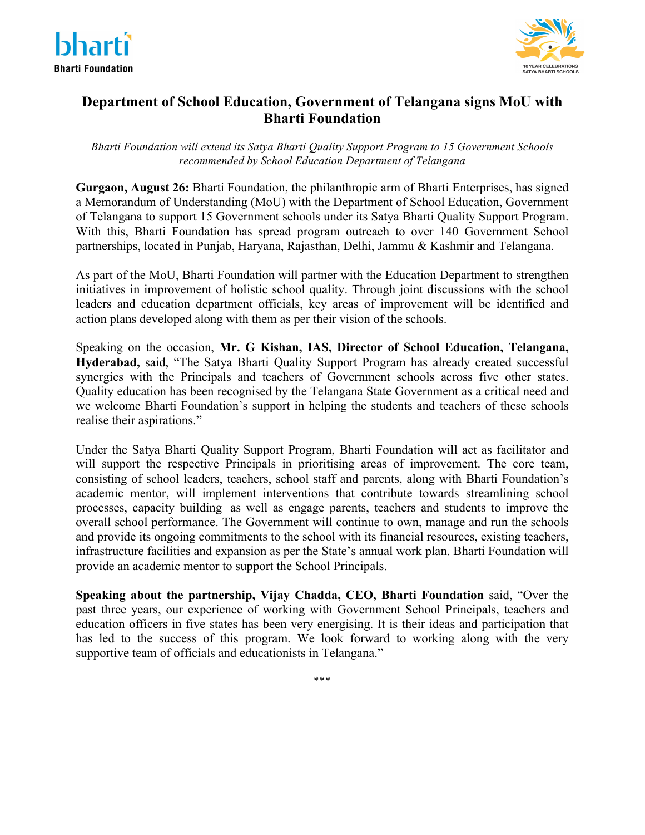



## **Department of School Education, Government of Telangana signs MoU with Bharti Foundation**

*Bharti Foundation will extend its Satya Bharti Quality Support Program to 15 Government Schools recommended by School Education Department of Telangana*

**Gurgaon, August 26:** Bharti Foundation, the philanthropic arm of Bharti Enterprises, has signed a Memorandum of Understanding (MoU) with the Department of School Education, Government of Telangana to support 15 Government schools under its Satya Bharti Quality Support Program. With this, Bharti Foundation has spread program outreach to over 140 Government School partnerships, located in Punjab, Haryana, Rajasthan, Delhi, Jammu & Kashmir and Telangana.

As part of the MoU, Bharti Foundation will partner with the Education Department to strengthen initiatives in improvement of holistic school quality. Through joint discussions with the school leaders and education department officials, key areas of improvement will be identified and action plans developed along with them as per their vision of the schools.

Speaking on the occasion, **Mr. G Kishan, IAS, Director of School Education, Telangana, Hyderabad,** said, "The Satya Bharti Quality Support Program has already created successful synergies with the Principals and teachers of Government schools across five other states. Quality education has been recognised by the Telangana State Government as a critical need and we welcome Bharti Foundation's support in helping the students and teachers of these schools realise their aspirations."

Under the Satya Bharti Quality Support Program, Bharti Foundation will act as facilitator and will support the respective Principals in prioritising areas of improvement. The core team, consisting of school leaders, teachers, school staff and parents, along with Bharti Foundation's academic mentor, will implement interventions that contribute towards streamlining school processes, capacity building as well as engage parents, teachers and students to improve the overall school performance. The Government will continue to own, manage and run the schools and provide its ongoing commitments to the school with its financial resources, existing teachers, infrastructure facilities and expansion as per the State's annual work plan. Bharti Foundation will provide an academic mentor to support the School Principals.

**Speaking about the partnership, Vijay Chadda, CEO, Bharti Foundation** said, "Over the past three years, our experience of working with Government School Principals, teachers and education officers in five states has been very energising. It is their ideas and participation that has led to the success of this program. We look forward to working along with the very supportive team of officials and educationists in Telangana."

\*\*\*